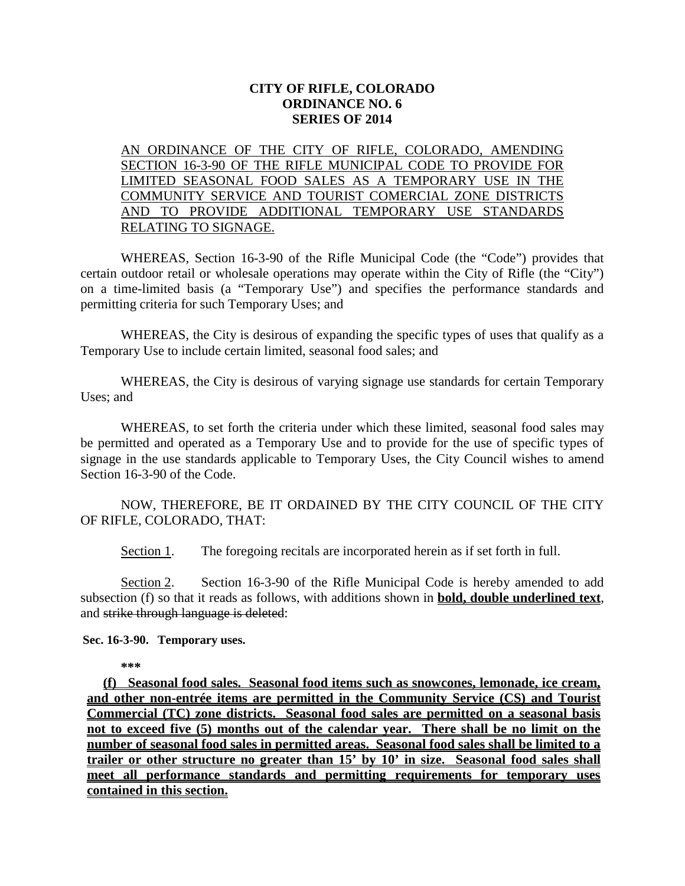## **CITY OF RIFLE, COLORADO ORDINANCE NO. 6 SERIES OF 2014**

AN ORDINANCE OF THE CITY OF RIFLE, COLORADO, AMENDING SECTION 16-3-90 OF THE RIFLE MUNICIPAL CODE TO PROVIDE FOR LIMITED SEASONAL FOOD SALES AS A TEMPORARY USE IN THE COMMUNITY SERVICE AND TOURIST COMERCIAL ZONE DISTRICTS AND TO PROVIDE ADDITIONAL TEMPORARY USE STANDARDS RELATING TO SIGNAGE.

WHEREAS, Section 16-3-90 of the Rifle Municipal Code (the "Code") provides that certain outdoor retail or wholesale operations may operate within the City of Rifle (the "City") on a time-limited basis (a "Temporary Use") and specifies the performance standards and permitting criteria for such Temporary Uses; and

WHEREAS, the City is desirous of expanding the specific types of uses that qualify as a Temporary Use to include certain limited, seasonal food sales; and

WHEREAS, the City is desirous of varying signage use standards for certain Temporary Uses; and

WHEREAS, to set forth the criteria under which these limited, seasonal food sales may be permitted and operated as a Temporary Use and to provide for the use of specific types of signage in the use standards applicable to Temporary Uses, the City Council wishes to amend Section 16-3-90 of the Code.

NOW, THEREFORE, BE IT ORDAINED BY THE CITY COUNCIL OF THE CITY OF RIFLE, COLORADO, THAT:

Section 1. The foregoing recitals are incorporated herein as if set forth in full.

Section 2. Section 16-3-90 of the Rifle Municipal Code is hereby amended to add subsection (f) so that it reads as follows, with additions shown in **bold, double underlined text**, and strike through language is deleted:

**Sec. 16-3-90. Temporary uses.**

**\*\*\***

**(f) Seasonal food sales. Seasonal food items such as snowcones, lemonade, ice cream, and other non-entrée items are permitted in the Community Service (CS) and Tourist Commercial (TC) zone districts. Seasonal food sales are permitted on a seasonal basis not to exceed five (5) months out of the calendar year. There shall be no limit on the number of seasonal food sales in permitted areas. Seasonal food sales shall be limited to a trailer or other structure no greater than 15' by 10' in size. Seasonal food sales shall meet all performance standards and permitting requirements for temporary uses contained in this section.**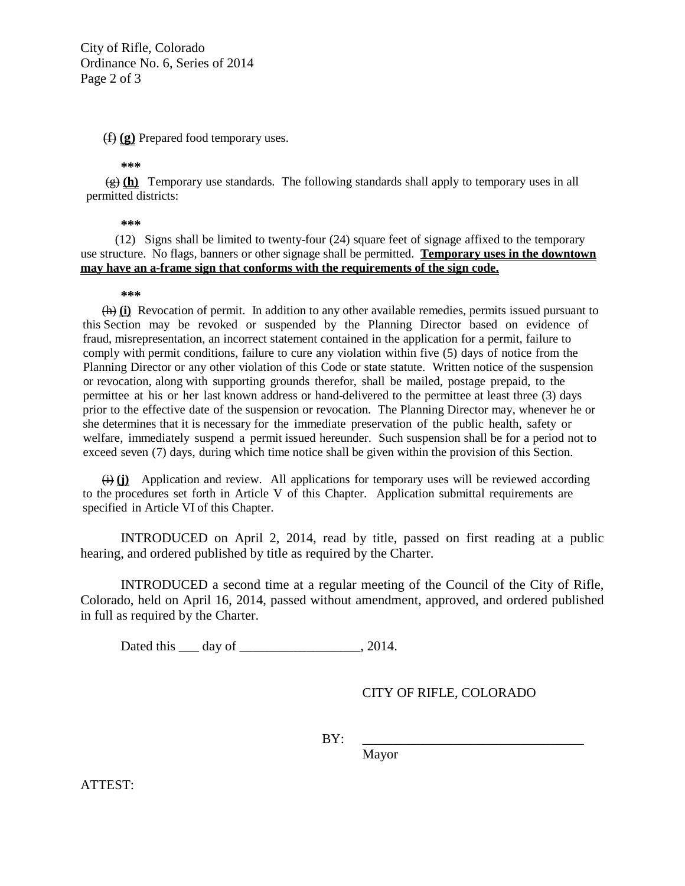City of Rifle, Colorado Ordinance No. 6, Series of 2014 Page 2 of 3

(f) **(g)** Prepared food temporary uses.

**\*\*\***

(g) **(h)** Temporary use standards. The following standards shall apply to temporary uses in all permitted districts:

**\*\*\***

(12) Signs shall be limited to twenty-four (24) square feet of signage affixed to the temporary use structure. No flags, banners or other signage shall be permitted. **Temporary uses in the downtown may have an a-frame sign that conforms with the requirements of the sign code.**

## **\*\*\***

(h) **(i)** Revocation of permit. In addition to any other available remedies, permits issued pursuant to this Section may be revoked or suspended by the Planning Director based on evidence of fraud, misrepresentation, an incorrect statement contained in the application for a permit, failure to comply with permit conditions, failure to cure any violation within five (5) days of notice from the Planning Director or any other violation of this Code or state statute. Written notice of the suspension or revocation, along with supporting grounds therefor, shall be mailed, postage prepaid, to the permittee at his or her last known address or hand-delivered to the permittee at least three (3) days prior to the effective date of the suspension or revocation. The Planning Director may, whenever he or she determines that it is necessary for the immediate preservation of the public health, safety or welfare, immediately suspend a permit issued hereunder. Such suspension shall be for a period not to exceed seven (7) days, during which time notice shall be given within the provision of this Section.

(i) **(j)** Application and review. All applications for temporary uses will be reviewed according to the procedures set forth in Article V of this Chapter. Application submittal requirements are specified in Article VI of this Chapter.

INTRODUCED on April 2, 2014, read by title, passed on first reading at a public hearing, and ordered published by title as required by the Charter.

INTRODUCED a second time at a regular meeting of the Council of the City of Rifle, Colorado, held on April 16, 2014, passed without amendment, approved, and ordered published in full as required by the Charter.

Dated this \_\_\_ day of \_\_\_\_\_\_\_\_\_\_\_\_\_\_\_\_\_\_, 2014.

CITY OF RIFLE, COLORADO

BY: \_\_\_\_\_\_\_\_\_\_\_\_\_\_\_\_\_\_\_\_\_\_\_\_\_\_\_\_\_\_\_\_\_

Mayor

ATTEST: